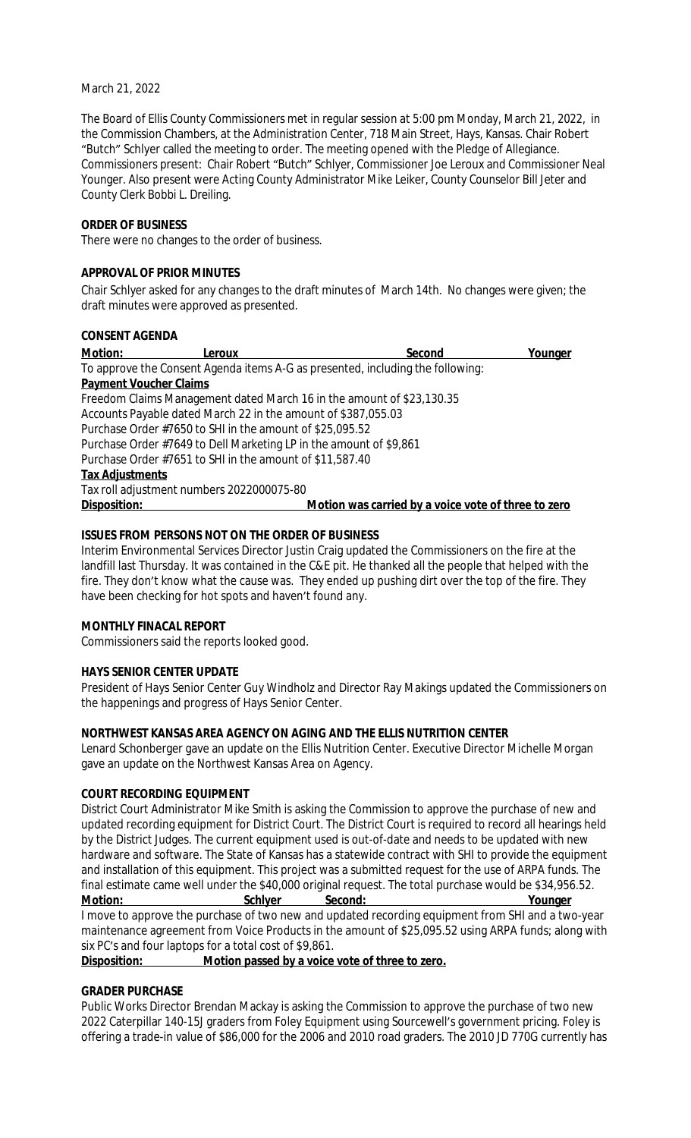### March 21, 2022

The Board of Ellis County Commissioners met in regular session at 5:00 pm Monday, March 21, 2022, in the Commission Chambers, at the Administration Center, 718 Main Street, Hays, Kansas. Chair Robert "Butch" Schlyer called the meeting to order. The meeting opened with the Pledge of Allegiance. Commissioners present: Chair Robert "Butch" Schlyer, Commissioner Joe Leroux and Commissioner Neal Younger. Also present were Acting County Administrator Mike Leiker, County Counselor Bill Jeter and County Clerk Bobbi L. Dreiling.

### **ORDER OF BUSINESS**

There were no changes to the order of business.

### **APPROVAL OF PRIOR MINUTES**

Chair Schlyer asked for any changes to the draft minutes of March 14th. No changes were given; the draft minutes were approved as presented.

#### **CONSENT AGENDA**

| Motion:                       | Leroux                                                             | Second                                                                         | Younger |
|-------------------------------|--------------------------------------------------------------------|--------------------------------------------------------------------------------|---------|
|                               |                                                                    | To approve the Consent Agenda items A-G as presented, including the following: |         |
| <b>Payment Voucher Claims</b> |                                                                    |                                                                                |         |
|                               |                                                                    | Freedom Claims Management dated March 16 in the amount of \$23,130.35          |         |
|                               | Accounts Payable dated March 22 in the amount of \$387,055.03      |                                                                                |         |
|                               | Purchase Order #7650 to SHI in the amount of \$25,095.52           |                                                                                |         |
|                               | Purchase Order #7649 to Dell Marketing LP in the amount of \$9,861 |                                                                                |         |
|                               | Purchase Order #7651 to SHI in the amount of \$11,587.40           |                                                                                |         |
| <b>Tax Adjustments</b>        |                                                                    |                                                                                |         |
|                               | Tax roll adjustment numbers 2022000075-80                          |                                                                                |         |
| Disposition:                  |                                                                    | Motion was carried by a voice vote of three to zero                            |         |

## **ISSUES FROM PERSONS NOT ON THE ORDER OF BUSINESS**

Interim Environmental Services Director Justin Craig updated the Commissioners on the fire at the landfill last Thursday. It was contained in the C&E pit. He thanked all the people that helped with the fire. They don't know what the cause was. They ended up pushing dirt over the top of the fire. They have been checking for hot spots and haven't found any.

## **MONTHLY FINACAL REPORT**

Commissioners said the reports looked good.

## **HAYS SENIOR CENTER UPDATE**

President of Hays Senior Center Guy Windholz and Director Ray Makings updated the Commissioners on the happenings and progress of Hays Senior Center.

## **NORTHWEST KANSAS AREA AGENCY ON AGING AND THE ELLIS NUTRITION CENTER**

Lenard Schonberger gave an update on the Ellis Nutrition Center. Executive Director Michelle Morgan gave an update on the Northwest Kansas Area on Agency.

### **COURT RECORDING EQUIPMENT**

District Court Administrator Mike Smith is asking the Commission to approve the purchase of new and updated recording equipment for District Court. The District Court is required to record all hearings held by the District Judges. The current equipment used is out-of-date and needs to be updated with new hardware and software. The State of Kansas has a statewide contract with SHI to provide the equipment and installation of this equipment. This project was a submitted request for the use of ARPA funds. The final estimate came well under the \$40,000 original request. The total purchase would be \$34,956.52.<br>Motion: Schlyer Second: Second: Younger **Motion: Schlyer Second: Younger**

I move to approve the purchase of two new and updated recording equipment from SHI and a two-year maintenance agreement from Voice Products in the amount of \$25,095.52 using ARPA funds; along with six PC's and four laptops for a total cost of \$9,861.

**Disposition: Motion passed by a voice vote of three to zero.**

#### **GRADER PURCHASE**

Public Works Director Brendan Mackay is asking the Commission to approve the purchase of two new 2022 Caterpillar 140-15J graders from Foley Equipment using Sourcewell's government pricing. Foley is offering a trade-in value of \$86,000 for the 2006 and 2010 road graders. The 2010 JD 770G currently has